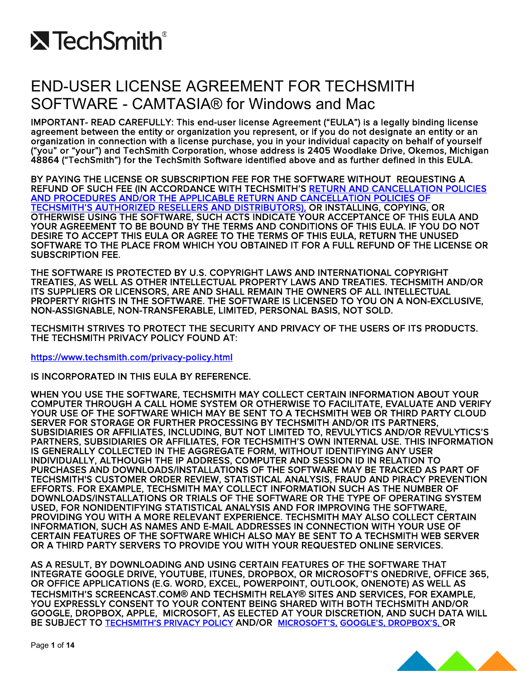

## END-USER LICENSE AGREEMENT FOR TECHSMITH SOFTWARE - CAMTASIA® for Windows and Mac

IMPORTANT- READ CAREFULLY: This end-user license Agreement ("EULA") is a legally binding license agreement between the entity or organization you represent, or if you do not designate an entity or an<br>organization in connection with a license purchase, you in your individual capacity on behalf of yourself ("you" or "your") and TechSmith Corporation, whose address is 2405 Woodlake Drive, Okemos, Michigan 48864 ("TechSmith") for the TechSmith Software identified above and as further defined in this EULA.

BY PAYING THE LICENSE OR SUBSCRIPTION FEE FOR THE SOFTWARE WITHOUT REQUESTING A REFUND OF SUCH FEE (IN ACCORDANCE WITH TECHSMITH'S [RETURN AND CANCELLATION POLICIES](https://support.techsmith.com/hc/en-us/articles/115007350548-Online-Store-FAQ-)  [AND PROCEDURES AND/OR THE APPLICABLE RETURN AND CANCELLATION POLICIES OF](https://support.techsmith.com/hc/en-us/articles/115007350548-Online-Store-FAQ-)  [TECHSMITH'S AUTHORIZED RESELLERS AND DISTRIBUTORS\),](https://support.techsmith.com/hc/en-us/articles/115007350548-Online-Store-FAQ-) OR INSTALLING, COPYING, OR OTHERWISE USING THE SOFTWARE, SUCH ACTS INDICATE YOUR ACCEPTANCE OF THIS EULA AND YOUR AGREEMENT TO BE BOUND BY THE TERMS AND CONDITIONS OF THIS EULA. IF YOU DO NOT DESIRE TO ACCEPT THIS EULA OR AGREE TO THE TERMS OF THIS EULA, RETURN THE UNUSED SOFTWARE TO THE PLACE FROM WHICH YOU OBTAINED IT FOR A FULL REFUND OF THE LICENSE OR SUBSCRIPTION FEE.

THE SOFTWARE IS PROTECTED BY U.S. COPYRIGHT LAWS AND INTERNATIONAL COPYRIGHT TREATIES, AS WELL AS OTHER INTELLECTUAL PROPERTY LAWS AND TREATIES. TECHSMITH AND/OR ITS SUPPLIERS OR LICENSORS, ARE AND SHALL REMAIN THE OWNERS OF ALL INTELLECTUAL PROPERTY RIGHTS IN THE SOFTWARE. THE SOFTWARE IS LICENSED TO YOU ON A NON-EXCLUSIVE, NON-ASSIGNABLE, NON-TRANSFERABLE, LIMITED, PERSONAL BASIS, NOT SOLD.

TECHSMITH STRIVES TO PROTECT THE SECURITY AND PRIVACY OF THE USERS OF ITS PRODUCTS. THE TECHSMITH PRIVACY POLICY FOUND AT:

<https://www.techsmith.com/privacy-policy.html>

IS INCORPORATED IN THIS EULA BY REFERENCE.

WHEN YOU USE THE SOFTWARE, TECHSMITH MAY COLLECT CERTAIN INFORMATION ABOUT YOUR COMPUTER THROUGH A CALL HOME SYSTEM OR OTHERWISE TO FACILITATE, EVALUATE AND VERIFY YOUR USE OF THE SOFTWARE WHICH MAY BE SENT TO A TECHSMITH WEB OR THIRD PARTY CLOUD SERVER FOR STORAGE OR FURTHER PROCESSING BY TECHSMITH AND/OR ITS PARTNERS, SUBSIDIARIES OR AFFILIATES, INCLUDING, BUT NOT LIMITED TO, REVULYTICS AND/OR REVULYTICS'S PARTNERS, SUBSIDIARIES OR AFFILIATES, FOR TECHSMITH'S OWN INTERNAL USE. THIS INFORMATION IS GENERALLY COLLECTED IN THE AGGREGATE FORM, WITHOUT IDENTIFYING ANY USER INDIVIDUALLY, ALTHOUGH THE IP ADDRESS, COMPUTER AND SESSION ID IN RELATION TO PURCHASES AND DOWNLOADS/INSTALLATIONS OF THE SOFTWARE MAY BE TRACKED AS PART OF TECHSMITH'S CUSTOMER ORDER REVIEW, STATISTICAL ANALYSIS, FRAUD AND PIRACY PREVENTION EFFORTS. FOR EXAMPLE, TECHSMITH MAY COLLECT INFORMATION SUCH AS THE NUMBER OF DOWNLOADS/INSTALLATIONS OR TRIALS OF THE SOFTWARE OR THE TYPE OF OPERATING SYSTEM USED, FOR NONIDENTIFYING STATISTICAL ANALYSIS AND FOR IMPROVING THE SOFTWARE, PROVIDING YOU WITH A MORE RELEVANT EXPERIENCE. TECHSMITH MAY ALSO COLLECT CERTAIN INFORMATION, SUCH AS NAMES AND E-MAIL ADDRESSES IN CONNECTION WITH YOUR USE OF CERTAIN FEATURES OF THE SOFTWARE WHICH ALSO MAY BE SENT TO A TECHSMITH WEB SERVER OR A THIRD PARTY SERVERS TO PROVIDE YOU WITH YOUR REQUESTED ONLINE SERVICES.

AS A RESULT, BY DOWNLOADING AND USING CERTAIN FEATURES OF THE SOFTWARE THAT INTEGRATE GOOGLE DRIVE, YOUTUBE, ITUNES, DROPBOX, OR MICROSOFT'S ONEDRIVE, OFFICE 365, OR OFFICE APPLICATIONS (E.G. WORD, EXCEL, POWERPOINT, OUTLOOK, ONENOTE) AS WELL AS TECHSMITH'S SCREENCAST.COM**®** AND TECHSMITH RELAY**®** SITES AND SERVICES, FOR EXAMPLE, YOU EXPRESSLY CONSENT TO YOUR CONTENT BEING SHARED WITH BOTH TECHSMITH AND/OR GOOGLE, DROPBOX, APPLE, MICROSOFT, AS ELECTED AT YOUR DISCRETION, AND SUCH DATA WILL BE SUBJECT TO [TECHSMITH'S PRIVACY POLICY](http://www.techsmith.com/privacy-policy.html) AND/OR [MICROSOFT'S,](http://www.microsoft.com/en-us/privacystatement/default.aspx) [GOOGLE'S,](https://www.google.com/intl/en/policies/privacy/) [DROPBOX'S,](https://www.dropbox.com/privacy) OR

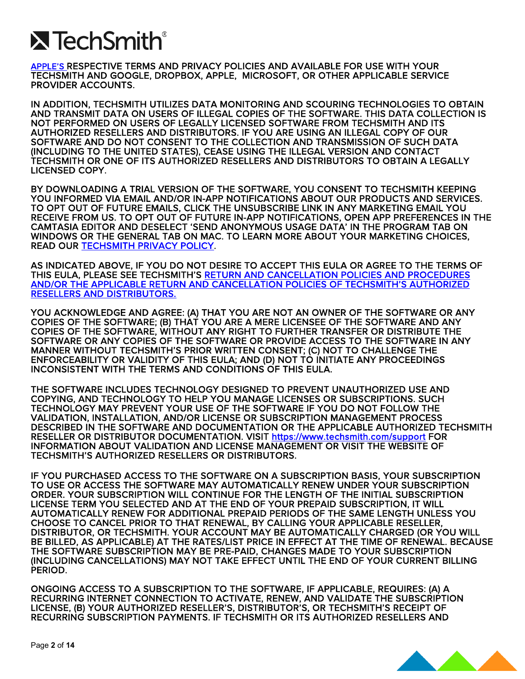# **X** TechSmith®

[APPLE'S R](http://www.apple.com/privacy/privacy-policy/)ESPECTIVE TERMS AND PRIVACY POLICIES AND AVAILABLE FOR USE WITH YOUR TECHSMITH AND GOOGLE, DROPBOX, APPLE, MICROSOFT, OR OTHER APPLICABLE SERVICE PROVIDER ACCOUNTS.

IN ADDITION, TECHSMITH UTILIZES DATA MONITORING AND SCOURING TECHNOLOGIES TO OBTAIN AND TRANSMIT DATA ON USERS OF ILLEGAL COPIES OF THE SOFTWARE. THIS DATA COLLECTION IS NOT PERFORMED ON USERS OF LEGALLY LICENSED SOFTWARE FROM TECHSMITH AND ITS AUTHORIZED RESELLERS AND DISTRIBUTORS. IF YOU ARE USING AN ILLEGAL COPY OF OUR SOFTWARE AND DO NOT CONSENT TO THE COLLECTION AND TRANSMISSION OF SUCH DATA (INCLUDING TO THE UNITED STATES), CEASE USING THE ILLEGAL VERSION AND CONTACT TECHSMITH OR ONE OF ITS AUTHORIZED RESELLERS AND DISTRIBUTORS TO OBTAIN A LEGALLY LICENSED COPY.

BY DOWNLOADING A TRIAL VERSION OF THE SOFTWARE, YOU CONSENT TO TECHSMITH KEEPING YOU INFORMED VIA EMAIL AND/OR IN-APP NOTIFICATIONS ABOUT OUR PRODUCTS AND SERVICES. TO OPT OUT OF FUTURE EMAILS, CLICK THE UNSUBSCRIBE LINK IN ANY MARKETING EMAIL YOU RECEIVE FROM US. TO OPT OUT OF FUTURE IN-APP NOTIFICATIONS, OPEN APP PREFERENCES IN THE CAMTASIA EDITOR AND DESELECT 'SEND ANONYMOUS USAGE DATA' IN THE PROGRAM TAB ON WINDOWS OR THE GENERAL TAB ON MAC. TO LEARN MORE ABOUT YOUR MARKETING CHOICES, READ OUR [TECHSMITH PRIVACY POLICY.](https://www.techsmith.com/privacy-policy.html)

AS INDICATED ABOVE, IF YOU DO NOT DESIRE TO ACCEPT THIS EULA OR AGREE TO THE TERMS OF THIS EULA, PLEASE SEE TECHSMITH'S [RETURN AND CANCELLATION POLICIES AND PROCEDURES](https://support.techsmith.com/hc/en-us/articles/115007350548-Online-Store-FAQ-)  [AND/OR THE APPLICABLE RETURN AND CANCELLATION POLICIES OF TECHSMITH'S AUTHORIZED](https://support.techsmith.com/hc/en-us/articles/115007350548-Online-Store-FAQ-)  [RESELLERS AND DISTRIBUTORS.](https://support.techsmith.com/hc/en-us/articles/115007350548-Online-Store-FAQ-)

YOU ACKNOWLEDGE AND AGREE: (A) THAT YOU ARE NOT AN OWNER OF THE SOFTWARE OR ANY COPIES OF THE SOFTWARE; (B) THAT YOU ARE A MERE LICENSEE OF THE SOFTWARE AND ANY COPIES OF THE SOFTWARE, WITHOUT ANY RIGHT TO FURTHER TRANSFER OR DISTRIBUTE THE SOFTWARE OR ANY COPIES OF THE SOFTWARE OR PROVIDE ACCESS TO THE SOFTWARE IN ANY MANNER WITHOUT TECHSMITH'S PRIOR WRITTEN CONSENT; (C) NOT TO CHALLENGE THE ENFORCEABILITY OR VALIDITY OF THIS EULA; AND (D) NOT TO INITIATE ANY PROCEEDINGS INCONSISTENT WITH THE TERMS AND CONDITIONS OF THIS EULA.

THE SOFTWARE INCLUDES TECHNOLOGY DESIGNED TO PREVENT UNAUTHORIZED USE AND COPYING, AND TECHNOLOGY TO HELP YOU MANAGE LICENSES OR SUBSCRIPTIONS. SUCH TECHNOLOGY MAY PREVENT YOUR USE OF THE SOFTWARE IF YOU DO NOT FOLLOW THE VALIDATION, INSTALLATION, AND/OR LICENSE OR SUBSCRIPTION MANAGEMENT PROCESS DESCRIBED IN THE SOFTWARE AND DOCUMENTATION OR THE APPLICABLE AUTHORIZED TECHSMITH RESELLER OR DISTRIBUTOR DOCUMENTATION. VISIT<https://www.techsmith.com/support>FOR INFORMATION ABOUT VALIDATION AND LICENSE MANAGEMENT OR VISIT THE WEBSITE OF TECHSMITH'S AUTHORIZED RESELLERS OR DISTRIBUTORS.

IF YOU PURCHASED ACCESS TO THE SOFTWARE ON A SUBSCRIPTION BASIS, YOUR SUBSCRIPTION TO USE OR ACCESS THE SOFTWARE MAY AUTOMATICALLY RENEW UNDER YOUR SUBSCRIPTION ORDER. YOUR SUBSCRIPTION WILL CONTINUE FOR THE LENGTH OF THE INITIAL SUBSCRIPTION LICENSE TERM YOU SELECTED AND AT THE END OF YOUR PREPAID SUBSCRIPTION, IT WILL AUTOMATICALLY RENEW FOR ADDITIONAL PREPAID PERIODS OF THE SAME LENGTH UNLESS YOU CHOOSE TO CANCEL PRIOR TO THAT RENEWAL, BY CALLING YOUR APPLICABLE RESELLER, DISTRIBUTOR, OR TECHSMITH. YOUR ACCOUNT MAY BE AUTOMATICALLY CHARGED (OR YOU WILL BE BILLED, AS APPLICABLE) AT THE RATES/LIST PRICE IN EFFECT AT THE TIME OF RENEWAL. BECAUSE THE SOFTWARE SUBSCRIPTION MAY BE PRE-PAID, CHANGES MADE TO YOUR SUBSCRIPTION (INCLUDING CANCELLATIONS) MAY NOT TAKE EFFECT UNTIL THE END OF YOUR CURRENT BILLING PERIOD.

ONGOING ACCESS TO A SUBSCRIPTION TO THE SOFTWARE, IF APPLICABLE, REQUIRES: (A) A RECURRING INTERNET CONNECTION TO ACTIVATE, RENEW, AND VALIDATE THE SUBSCRIPTION LICENSE, (B) YOUR AUTHORIZED RESELLER'S, DISTRIBUTOR'S, OR TECHSMITH'S RECEIPT OF RECURRING SUBSCRIPTION PAYMENTS. IF TECHSMITH OR ITS AUTHORIZED RESELLERS AND

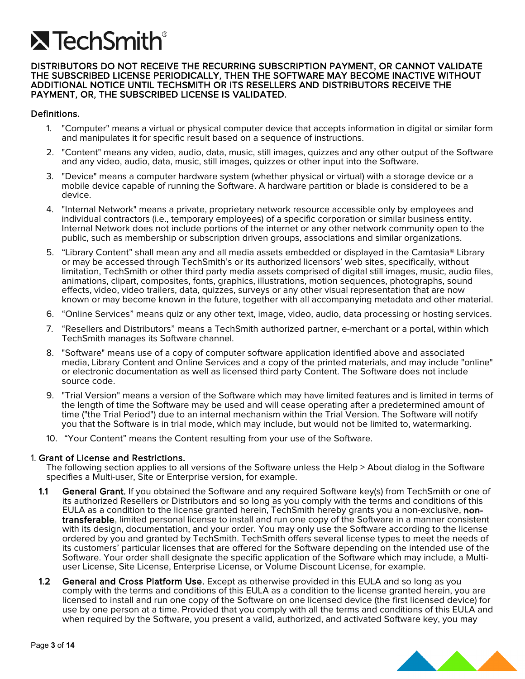# **X** TechSmith®

#### DISTRIBUTORS DO NOT RECEIVE THE RECURRING SUBSCRIPTION PAYMENT, OR CANNOT VALIDATE THE SUBSCRIBED LICENSE PERIODICALLY, THEN THE SOFTWARE MAY BECOME INACTIVE WITHOUT ADDITIONAL NOTICE UNTIL TECHSMITH OR ITS RESELLERS AND DISTRIBUTORS RECEIVE THE PAYMENT, OR, THE SUBSCRIBED LICENSE IS VALIDATED.

### Definitions.

- 1. "Computer" means a virtual or physical computer device that accepts information in digital or similar form and manipulates it for specific result based on a sequence of instructions.
- 2. "Content" means any video, audio, data, music, still images, quizzes and any other output of the Software and any video, audio, data, music, still images, quizzes or other input into the Software.
- 3. "Device" means a computer hardware system (whether physical or virtual) with a storage device or a mobile device capable of running the Software. A hardware partition or blade is considered to be a device.
- 4. "Internal Network" means a private, proprietary network resource accessible only by employees and individual contractors (i.e., temporary employees) of a specific corporation or similar business entity. Internal Network does not include portions of the internet or any other network community open to the public, such as membership or subscription driven groups, associations and similar organizations.
- 5. "Library Content" shall mean any and all media assets embedded or displayed in the Camtasia® Library or may be accessed through TechSmith's or its authorized licensors' web sites, specifically, without limitation, TechSmith or other third party media assets comprised of digital still images, music, audio files, animations, clipart, composites, fonts, graphics, illustrations, motion sequences, photographs, sound effects, video, video trailers, data, quizzes, surveys or any other visual representation that are now known or may become known in the future, together with all accompanying metadata and other material.
- 6. "Online Services" means quiz or any other text, image, video, audio, data processing or hosting services.
- 7. "Resellers and Distributors" means a TechSmith authorized partner, e-merchant or a portal, within which TechSmith manages its Software channel.
- 8. "Software" means use of a copy of computer software application identified above and associated media, Library Content and Online Services and a copy of the printed materials, and may include "online" or electronic documentation as well as licensed third party Content. The Software does not include source code.
- 9. "Trial Version" means a version of the Software which may have limited features and is limited in terms of the length of time the Software may be used and will cease operating after a predetermined amount of time ("the Trial Period") due to an internal mechanism within the Trial Version. The Software will notify you that the Software is in trial mode, which may include, but would not be limited to, watermarking.
- 10. "Your Content" means the Content resulting from your use of the Software.

#### 1. Grant of License and Restrictions.

The following section applies to all versions of the Software unless the Help > About dialog in the Software specifies a Multi-user, Site or Enterprise version, for example.

- 1.1 General Grant. If you obtained the Software and any required Software key(s) from TechSmith or one of its authorized Resellers or Distributors and so long as you comply with the terms and conditions of this EULA as a condition to the license granted herein, TechSmith hereby grants you a non-exclusive, nontransferable, limited personal license to install and run one copy of the Software in a manner consistent with its design, documentation, and your order. You may only use the Software according to the license ordered by you and granted by TechSmith. TechSmith offers several license types to meet the needs of its customers' particular licenses that are offered for the Software depending on the intended use of the Software. Your order shall designate the specific application of the Software which may include, a Multiuser License, Site License, Enterprise License, or Volume Discount License, for example.
- **1.2 General and Cross Platform Use.** Except as otherwise provided in this EULA and so long as you comply with the terms and conditions of this EULA as a condition to the license granted herein, you are licensed to install and run one copy of the Software on one licensed device (the first licensed device) for use by one person at a time. Provided that you comply with all the terms and conditions of this EULA and when required by the Software, you present a valid, authorized, and activated Software key, you may

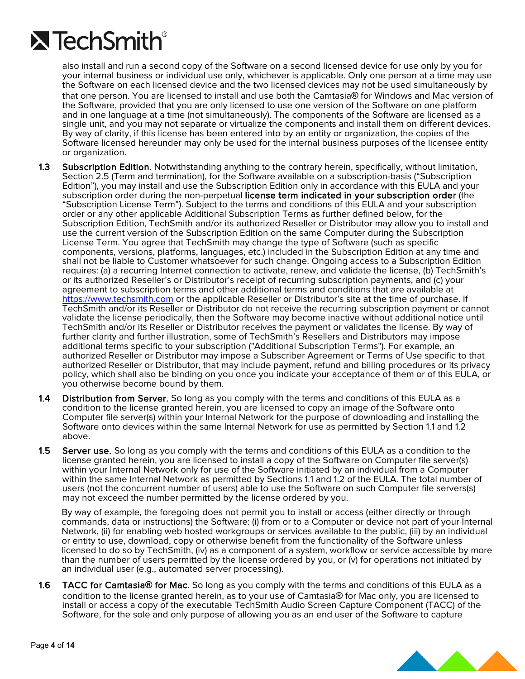

also install and run a second copy of the Software on a second licensed device for use only by you for your internal business or individual use only, whichever is applicable. Only one person at a time may use the Software on each licensed device and the two licensed devices may not be used simultaneously by that one person. You are licensed to install and use both the Camtasia® for Windows and Mac version of the Software, provided that you are only licensed to use one version of the Software on one platform and in one language at a time (not simultaneously). The components of the Software are licensed as a single unit, and you may not separate or virtualize the components and install them on different devices. By way of clarity, if this license has been entered into by an entity or organization, the copies of the Software licensed hereunder may only be used for the internal business purposes of the licensee entity or organization.

- 1.3 Subscription Edition. Notwithstanding anything to the contrary herein, specifically, without limitation, Section 2.5 (Term and termination), for the Software available on a subscription-basis ("Subscription Edition"), you may install and use the Subscription Edition only in accordance with this EULA and your subscription order during the non-perpetual license term indicated in your subscription order (the "Subscription License Term"). Subject to the terms and conditions of this EULA and your subscription order or any other applicable Additional Subscription Terms as further defined below, for the Subscription Edition, TechSmith and/or its authorized Reseller or Distributor may allow you to install and use the current version of the Subscription Edition on the same Computer during the Subscription License Term. You agree that TechSmith may change the type of Software (such as specific components, versions, platforms, languages, etc.) included in the Subscription Edition at any time and shall not be liable to Customer whatsoever for such change. Ongoing access to a Subscription Edition requires: (a) a recurring Internet connection to activate, renew, and validate the license, (b) TechSmith's or its authorized Reseller's or Distributor's receipt of recurring subscription payments, and (c) your agreement to subscription terms and other additional terms and conditions that are available at [https://www.techsmith.com](https://www.techsmith.com/) or the applicable Reseller or Distributor's site at the time of purchase. If TechSmith and/or its Reseller or Distributor do not receive the recurring subscription payment or cannot validate the license periodically, then the Software may become inactive without additional notice until TechSmith and/or its Reseller or Distributor receives the payment or validates the license. By way of further clarity and further illustration, some of TechSmith's Resellers and Distributors may impose additional terms specific to your subscription ("Additional Subscription Terms"). For example, an authorized Reseller or Distributor may impose a Subscriber Agreement or Terms of Use specific to that authorized Reseller or Distributor, that may include payment, refund and billing procedures or its privacy policy, which shall also be binding on you once you indicate your acceptance of them or of this EULA, or you otherwise become bound by them.
- **1.4 Distribution from Server.** So long as you comply with the terms and conditions of this EULA as a condition to the license granted herein, you are licensed to copy an image of the Software onto Computer file server(s) within your Internal Network for the purpose of downloading and installing the Software onto devices within the same Internal Network for use as permitted by Section 1.1 and 1.2 above.
- **1.5 Server use.** So long as you comply with the terms and conditions of this EULA as a condition to the license granted herein, you are licensed to install a copy of the Software on Computer file server(s) within your Internal Network only for use of the Software initiated by an individual from a Computer within the same Internal Network as permitted by Sections 1.1 and 1.2 of the EULA. The total number of users (not the concurrent number of users) able to use the Software on such Computer file servers(s) may not exceed the number permitted by the license ordered by you.

By way of example, the foregoing does not permit you to install or access (either directly or through commands, data or instructions) the Software: (i) from or to a Computer or device not part of your Internal Network, (ii) for enabling web hosted workgroups or services available to the public, (iii) by an individual or entity to use, download, copy or otherwise benefit from the functionality of the Software unless licensed to do so by TechSmith, (iv) as a component of a system, workflow or service accessible by more than the number of users permitted by the license ordered by you, or (v) for operations not initiated by an individual user (e.g., automated server processing).

1.6 TACC for Camtasia**®** for Mac. So long as you comply with the terms and conditions of this EULA as a condition to the license granted herein, as to your use of Camtasia® for Mac only, you are licensed to install or access a copy of the executable TechSmith Audio Screen Capture Component (TACC) of the Software, for the sole and only purpose of allowing you as an end user of the Software to capture

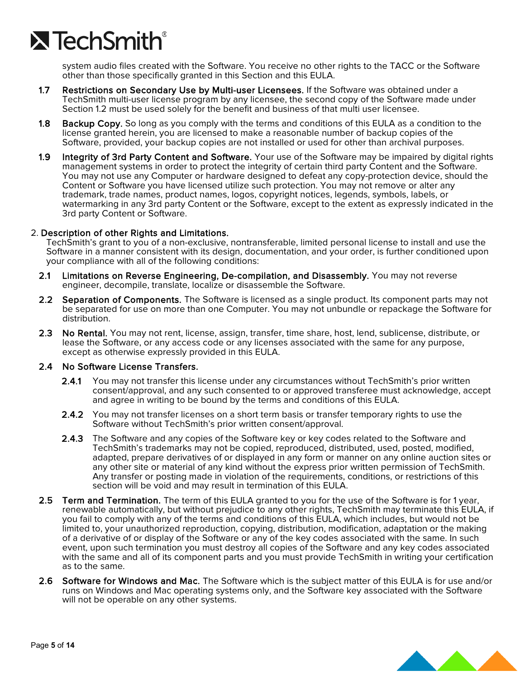

system audio files created with the Software. You receive no other rights to the TACC or the Software other than those specifically granted in this Section and this EULA.

- 1.7 Restrictions on Secondary Use by Multi-user Licensees. If the Software was obtained under a TechSmith multi-user license program by any licensee, the second copy of the Software made under Section 1.2 must be used solely for the benefit and business of that multi user licensee.
- 1.8 Backup Copy. So long as you comply with the terms and conditions of this EULA as a condition to the license granted herein, you are licensed to make a reasonable number of backup copies of the Software, provided, your backup copies are not installed or used for other than archival purposes.
- 1.9 Integrity of 3rd Party Content and Software. Your use of the Software may be impaired by digital rights management systems in order to protect the integrity of certain third party Content and the Software. You may not use any Computer or hardware designed to defeat any copy-protection device, should the Content or Software you have licensed utilize such protection. You may not remove or alter any trademark, trade names, product names, logos, copyright notices, legends, symbols, labels, or watermarking in any 3rd party Content or the Software, except to the extent as expressly indicated in the 3rd party Content or Software.

### 2. Description of other Rights and Limitations.

TechSmith's grant to you of a non-exclusive, nontransferable, limited personal license to install and use the Software in a manner consistent with its design, documentation, and your order, is further conditioned upon your compliance with all of the following conditions:

- 2.1 Limitations on Reverse Engineering, De-compilation, and Disassembly. You may not reverse engineer, decompile, translate, localize or disassemble the Software.
- 2.2 Separation of Components. The Software is licensed as a single product. Its component parts may not be separated for use on more than one Computer. You may not unbundle or repackage the Software for distribution.
- 2.3 No Rental. You may not rent, license, assign, transfer, time share, host, lend, sublicense, distribute, or lease the Software, or any access code or any licenses associated with the same for any purpose, except as otherwise expressly provided in this EULA.

#### 2.4 No Software License Transfers.

- 2.4.1 You may not transfer this license under any circumstances without TechSmith's prior written consent/approval, and any such consented to or approved transferee must acknowledge, accept and agree in writing to be bound by the terms and conditions of this EULA.
- 2.4.2 You may not transfer licenses on a short term basis or transfer temporary rights to use the Software without TechSmith's prior written consent/approval.
- **2.4.3** The Software and any copies of the Software key or key codes related to the Software and TechSmith's trademarks may not be copied, reproduced, distributed, used, posted, modified, adapted, prepare derivatives of or displayed in any form or manner on any online auction sites or any other site or material of any kind without the express prior written permission of TechSmith. Any transfer or posting made in violation of the requirements, conditions, or restrictions of this section will be void and may result in termination of this EULA.
- 2.5 Term and Termination. The term of this EULA granted to you for the use of the Software is for 1 year, renewable automatically, but without prejudice to any other rights, TechSmith may terminate this EULA, if you fail to comply with any of the terms and conditions of this EULA, which includes, but would not be limited to, your unauthorized reproduction, copying, distribution, modification, adaptation or the making of a derivative of or display of the Software or any of the key codes associated with the same. In such event, upon such termination you must destroy all copies of the Software and any key codes associated with the same and all of its component parts and you must provide TechSmith in writing your certification as to the same.
- 2.6 Software for Windows and Mac. The Software which is the subject matter of this EULA is for use and/or runs on Windows and Mac operating systems only, and the Software key associated with the Software will not be operable on any other systems.

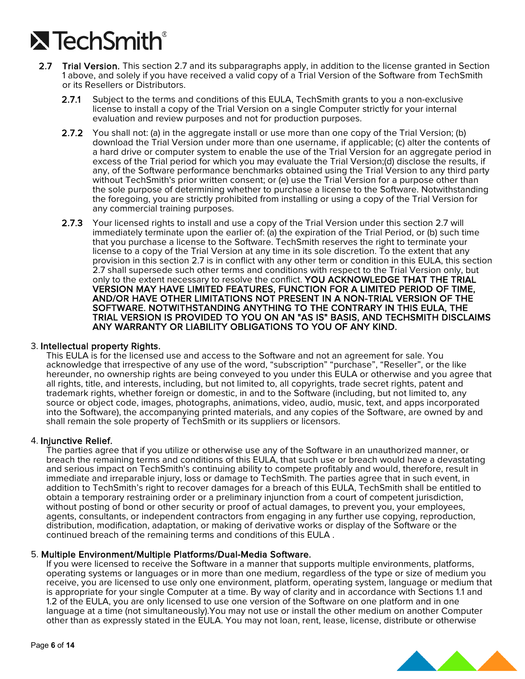# $\lambda$  TechSmith $^{\circ}$

- 2.7 Trial Version. This section 2.7 and its subparagraphs apply, in addition to the license granted in Section 1 above, and solely if you have received a valid copy of a Trial Version of the Software from TechSmith or its Resellers or Distributors.
	- 2.7.1 Subject to the terms and conditions of this EULA, TechSmith grants to you a non-exclusive license to install a copy of the Trial Version on a single Computer strictly for your internal evaluation and review purposes and not for production purposes.
	- 2.7.2 You shall not: (a) in the aggregate install or use more than one copy of the Trial Version; (b) download the Trial Version under more than one username, if applicable; (c) alter the contents of a hard drive or computer system to enable the use of the Trial Version for an aggregate period in excess of the Trial period for which you may evaluate the Trial Version;(d) disclose the results, if any, of the Software performance benchmarks obtained using the Trial Version to any third party without TechSmith's prior written consent; or (e) use the Trial Version for a purpose other than the sole purpose of determining whether to purchase a license to the Software. Notwithstanding the foregoing, you are strictly prohibited from installing or using a copy of the Trial Version for any commercial training purposes.
	- 2.7.3 Your licensed rights to install and use a copy of the Trial Version under this section 2.7 will immediately terminate upon the earlier of: (a) the expiration of the Trial Period, or (b) such time that you purchase a license to the Software. TechSmith reserves the right to terminate your license to a copy of the Trial Version at any time in its sole discretion. To the extent that any provision in this section 2.7 is in conflict with any other term or condition in this EULA, this section 2.7 shall supersede such other terms and conditions with respect to the Trial Version only, but only to the extent necessary to resolve the conflict. YOU ACKNOWLEDGE THAT THE TRIAL VERSION MAY HAVE LIMITED FEATURES, FUNCTION FOR A LIMITED PERIOD OF TIME, AND/OR HAVE OTHER LIMITATIONS NOT PRESENT IN A NON-TRIAL VERSION OF THE SOFTWARE. NOTWITHSTANDING ANYTHING TO THE CONTRARY IN THIS EULA, THE TRIAL VERSION IS PROVIDED TO YOU ON AN "AS IS" BASIS, AND TECHSMITH DISCLAIMS ANY WARRANTY OR LIABILITY OBLIGATIONS TO YOU OF ANY KIND.

#### 3. Intellectual property Rights.

This EULA is for the licensed use and access to the Software and not an agreement for sale. You acknowledge that irrespective of any use of the word, "subscription" "purchase", "Reseller", or the like hereunder, no ownership rights are being conveyed to you under this EULA or otherwise and you agree that all rights, title, and interests, including, but not limited to, all copyrights, trade secret rights, patent and trademark rights, whether foreign or domestic, in and to the Software (including, but not limited to, any source or object code, images, photographs, animations, video, audio, music, text, and apps incorporated into the Software), the accompanying printed materials, and any copies of the Software, are owned by and shall remain the sole property of TechSmith or its suppliers or licensors.

#### 4. Injunctive Relief.

The parties agree that if you utilize or otherwise use any of the Software in an unauthorized manner, or breach the remaining terms and conditions of this EULA, that such use or breach would have a devastating and serious impact on TechSmith's continuing ability to compete profitably and would, therefore, result in immediate and irreparable injury, loss or damage to TechSmith. The parties agree that in such event, in addition to TechSmith's right to recover damages for a breach of this EULA, TechSmith shall be entitled to obtain a temporary restraining order or a preliminary injunction from a court of competent jurisdiction, without posting of bond or other security or proof of actual damages, to prevent you, your employees, agents, consultants, or independent contractors from engaging in any further use copying, reproduction, distribution, modification, adaptation, or making of derivative works or display of the Software or the continued breach of the remaining terms and conditions of this EULA .

5. Multiple Environment/Multiple Platforms/Dual-Media Software.<br>If you were licensed to receive the Software in a manner that supports multiple environments, platforms, operating systems or languages or in more than one medium, regardless of the type or size of medium you receive, you are licensed to use only one environment, platform, operating system, language or medium that is appropriate for your single Computer at a time. By way of clarity and in accordance with Sections 1.1 and 1.2 of the EULA, you are only licensed to use one version of the Software on one platform and in one language at a time (not simultaneously).You may not use or install the other medium on another Computer other than as expressly stated in the EULA. You may not loan, rent, lease, license, distribute or otherwise

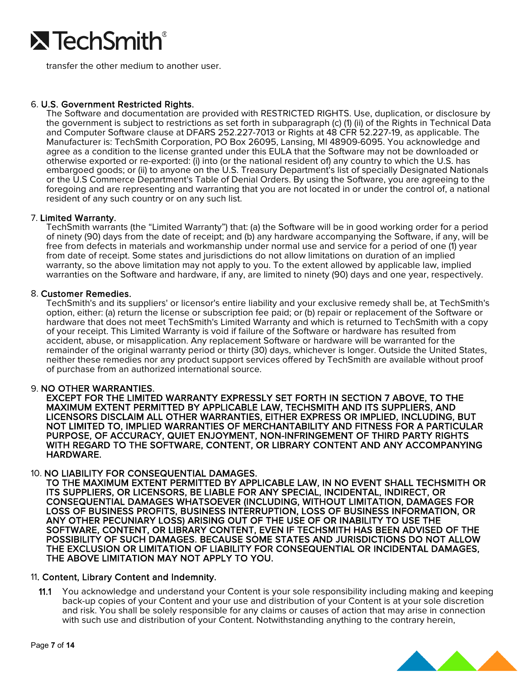

transfer the other medium to another user.

### 6. U.S. Government Restricted Rights.

The Software and documentation are provided with RESTRICTED RIGHTS. Use, duplication, or disclosure by the government is subject to restrictions as set forth in subparagraph (c) (1) (ii) of the Rights in Technical Data and Computer Software clause at DFARS 252.227-7013 or Rights at 48 CFR 52.227-19, as applicable. The Manufacturer is: TechSmith Corporation, PO Box 26095, Lansing, MI 48909-6095. You acknowledge and agree as a condition to the license granted under this EULA that the Software may not be downloaded or otherwise exported or re-exported: (i) into (or the national resident of) any country to which the U.S. has embargoed goods; or (ii) to anyone on the U.S. Treasury Department's list of specially Designated Nationals or the U.S Commerce Department's Table of Denial Orders. By using the Software, you are agreeing to the foregoing and are representing and warranting that you are not located in or under the control of, a national resident of any such country or on any such list.

7. Limited Warranty.<br>TechSmith warrants (the "Limited Warranty") that: (a) the Software will be in good working order for a period of ninety (90) days from the date of receipt; and (b) any hardware accompanying the Software, if any, will be free from defects in materials and workmanship under normal use and service for a period of one (1) year from date of receipt. Some states and jurisdictions do not allow limitations on duration of an implied warranty, so the above limitation may not apply to you. To the extent allowed by applicable law, implied warranties on the Software and hardware, if any, are limited to ninety (90) days and one year, respectively.

#### 8. Customer Remedies.

TechSmith's and its suppliers' or licensor's entire liability and your exclusive remedy shall be, at TechSmith's option, either: (a) return the license or subscription fee paid; or (b) repair or replacement of the Software or hardware that does not meet TechSmith's Limited Warranty and which is returned to TechSmith with a copy of your receipt. This Limited Warranty is void if failure of the Software or hardware has resulted from accident, abuse, or misapplication. Any replacement Software or hardware will be warranted for the remainder of the original warranty period or thirty (30) days, whichever is longer. Outside the United States, neither these remedies nor any product support services offered by TechSmith are available without proof of purchase from an authorized international source.

#### 9. NO OTHER WARRANTIES.

EXCEPT FOR THE LIMITED WARRANTY EXPRESSLY SET FORTH IN SECTION 7 ABOVE, TO THE MAXIMUM EXTENT PERMITTED BY APPLICABLE LAW, TECHSMITH AND ITS SUPPLIERS, AND LICENSORS DISCLAIM ALL OTHER WARRANTIES, EITHER EXPRESS OR IMPLIED, INCLUDING, BUT NOT LIMITED TO, IMPLIED WARRANTIES OF MERCHANTABILITY AND FITNESS FOR A PARTICULAR PURPOSE, OF ACCURACY, QUIET ENJOYMENT, NON-INFRINGEMENT OF THIRD PARTY RIGHTS WITH REGARD TO THE SOFTWARE, CONTENT, OR LIBRARY CONTENT AND ANY ACCOMPANYING HARDWARE.

10. NO LIABILITY FOR CONSEQUENTIAL DAMAGES. TO THE MAXIMUM EXTENT PERMITTED BY APPLICABLE LAW, IN NO EVENT SHALL TECHSMITH OR ITS SUPPLIERS, OR LICENSORS, BE LIABLE FOR ANY SPECIAL, INCIDENTAL, INDIRECT, OR CONSEQUENTIAL DAMAGES WHATSOEVER (INCLUDING, WITHOUT LIMITATION, DAMAGES FOR LOSS OF BUSINESS PROFITS, BUSINESS INTERRUPTION, LOSS OF BUSINESS INFORMATION, OR ANY OTHER PECUNIARY LOSS) ARISING OUT OF THE USE OF OR INABILITY TO USE THE SOFTWARE, CONTENT, OR LIBRARY CONTENT, EVEN IF TECHSMITH HAS BEEN ADVISED OF THE POSSIBILITY OF SUCH DAMAGES. BECAUSE SOME STATES AND JURISDICTIONS DO NOT ALLOW THE EXCLUSION OR LIMITATION OF LIABILITY FOR CONSEQUENTIAL OR INCIDENTAL DAMAGES, THE ABOVE LIMITATION MAY NOT APPLY TO YOU.

#### 11. Content, Library Content and Indemnity.

11.1 You acknowledge and understand your Content is your sole responsibility including making and keeping back-up copies of your Content and your use and distribution of your Content is at your sole discretion and risk. You shall be solely responsible for any claims or causes of action that may arise in connection with such use and distribution of your Content. Notwithstanding anything to the contrary herein,

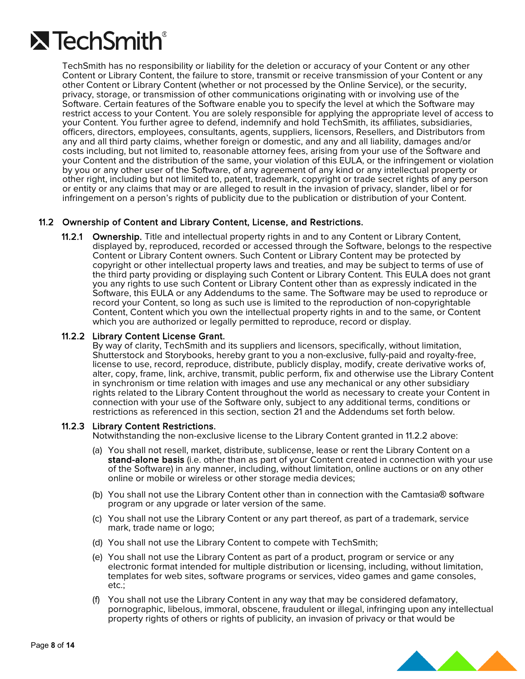

TechSmith has no responsibility or liability for the deletion or accuracy of your Content or any other Content or Library Content, the failure to store, transmit or receive transmission of your Content or any other Content or Library Content (whether or not processed by the Online Service), or the security, privacy, storage, or transmission of other communications originating with or involving use of the Software. Certain features of the Software enable you to specify the level at which the Software may restrict access to your Content. You are solely responsible for applying the appropriate level of access to<br>your Content. You further agree to defend, indemnify and hold TechSmith, its affiliates, subsidiaries, officers, directors, employees, consultants, agents, suppliers, licensors, Resellers, and Distributors from any and all third party claims, whether foreign or domestic, and any and all liability, damages and/or costs including, but not limited to, reasonable attorney fees, arising from your use of the Software and your Content and the distribution of the same, your violation of this EULA, or the infringement or violation by you or any other user of the Software, of any agreement of any kind or any intellectual property or other right, including but not limited to, patent, trademark, copyright or trade secret rights of any person or entity or any claims that may or are alleged to result in the invasion of privacy, slander, libel or for infringement on a person's rights of publicity due to the publication or distribution of your Content.

### 11.2 Ownership of Content and Library Content, License, and Restrictions.

**11.2.1 Ownership.** Title and intellectual property rights in and to any Content or Library Content, displayed by, reproduced, recorded or accessed through the Software, belongs to the respective Content or Library Content owners. Such Content or Library Content may be protected by copyright or other intellectual property laws and treaties, and may be subject to terms of use of the third party providing or displaying such Content or Library Content. This EULA does not grant you any rights to use such Content or Library Content other than as expressly indicated in the Software, this EULA or any Addendums to the same. The Software may be used to reproduce or record your Content, so long as such use is limited to the reproduction of non-copyrightable Content, Content which you own the intellectual property rights in and to the same, or Content which you are authorized or legally permitted to reproduce, record or display.

#### 11.2.2 Library Content License Grant.

By way of clarity, TechSmith and its suppliers and licensors, specifically, without limitation,<br>Shutterstock and Storybooks, hereby grant to you a non-exclusive, fully-paid and royalty-free, license to use, record, reproduce, distribute, publicly display, modify, create derivative works of, alter, copy, frame, link, archive, transmit, public perform, fix and otherwise use the Library Content in synchronism or time relation with images and use any mechanical or any other subsidiary rights related to the Library Content throughout the world as necessary to create your Content in connection with your use of the Software only, subject to any additional terms, conditions or restrictions as referenced in this section, section 21 and the Addendums set forth below.

#### 11.2.3 Library Content Restrictions.

Notwithstanding the non-exclusive license to the Library Content granted in 11.2.2 above:

- (a) You shall not resell, market, distribute, sublicense, lease or rent the Library Content on a stand-alone basis (i.e. other than as part of your Content created in connection with your use of the Software) in any manner, including, without limitation, online auctions or on any other online or mobile or wireless or other storage media devices;
- (b) You shall not use the Library Content other than in connection with the Camtasia® software program or any upgrade or later version of the same.
- (c) You shall not use the Library Content or any part thereof, as part of a trademark, service mark, trade name or logo;
- (d) You shall not use the Library Content to compete with TechSmith;
- (e) You shall not use the Library Content as part of a product, program or service or any electronic format intended for multiple distribution or licensing, including, without limitation, templates for web sites, software programs or services, video games and game consoles, etc.;
- (f) You shall not use the Library Content in any way that may be considered defamatory, pornographic, libelous, immoral, obscene, fraudulent or illegal, infringing upon any intellectual property rights of others or rights of publicity, an invasion of privacy or that would be

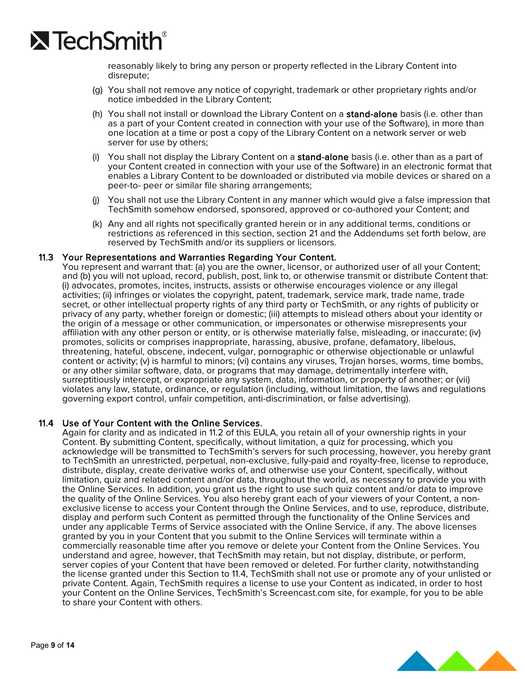

reasonably likely to bring any person or property reflected in the Library Content into disrepute;

- (g) You shall not remove any notice of copyright, trademark or other proprietary rights and/or notice imbedded in the Library Content;
- (h) You shall not install or download the Library Content on a stand-alone basis (i.e. other than as a part of your Content created in connection with your use of the Software), in more than one location at a time or post a copy of the Library Content on a network server or web server for use by others;
- (i) You shall not display the Library Content on a stand-alone basis (i.e. other than as a part of your Content created in connection with your use of the Software) in an electronic format that enables a Library Content to be downloaded or distributed via mobile devices or shared on a peer-to- peer or similar file sharing arrangements;
- (j) You shall not use the Library Content in any manner which would give a false impression that TechSmith somehow endorsed, sponsored, approved or co-authored your Content; and
- (k) Any and all rights not specifically granted herein or in any additional terms, conditions or restrictions as referenced in this section, section 21 and the Addendums set forth below, are reserved by TechSmith and/or its suppliers or licensors.

#### 11.3 Your Representations and Warranties Regarding Your Content.

You represent and warrant that: (a) you are the owner, licensor, or authorized user of all your Content; and (b) you will not upload, record, publish, post, link to, or otherwise transmit or distribute Content that: (i) advocates, promotes, incites, instructs, assists or otherwise encourages violence or any illegal activities; (ii) infringes or violates the copyright, patent, trademark, service mark, trade name, trade secret, or other intellectual property rights of any third party or TechSmith, or any rights of publicity or privacy of any party, whether foreign or domestic; (iii) attempts to mislead others about your identity or the origin of a message or other communication, or impersonates or otherwise misrepresents your affiliation with any other person or entity, or is otherwise materially false, misleading, or inaccurate; (iv) promotes, solicits or comprises inappropriate, harassing, abusive, profane, defamatory, libelous, threatening, hateful, obscene, indecent, vulgar, pornographic or otherwise objectionable or unlawful content or activity; (v) is harmful to minors; (vi) contains any viruses, Trojan horses, worms, time bombs, or any other similar software, data, or programs that may damage, detrimentally interfere with, surreptitiously intercept, or expropriate any system, data, information, or property of another; or (vii) violates any law, statute, ordinance, or regulation (including, without limitation, the laws and regulations governing export control, unfair competition, anti-discrimination, or false advertising).

#### 11.4 Use of Your Content with the Online Services.

Again for clarity and as indicated in 11.2 of this EULA, you retain all of your ownership rights in your Content. By submitting Content, specifically, without limitation, a quiz for processing, which you acknowledge will be transmitted to TechSmith's servers for such processing, however, you hereby grant to TechSmith an unrestricted, perpetual, non-exclusive, fully-paid and royalty-free, license to reproduce, distribute, display, create derivative works of, and otherwise use your Content, specifically, without limitation, quiz and related content and/or data, throughout the world, as necessary to provide you with the Online Services. In addition, you grant us the right to use such quiz content and/or data to improve the quality of the Online Services. You also hereby grant each of your viewers of your Content, a nonexclusive license to access your Content through the Online Services, and to use, reproduce, distribute, display and perform such Content as permitted through the functionality of the Online Services and under any applicable Terms of Service associated with the Online Service, if any. The above licenses granted by you in your Content that you submit to the Online Services will terminate within a commercially reasonable time after you remove or delete your Content from the Online Services. You understand and agree, however, that TechSmith may retain, but not display, distribute, or perform, server copies of your Content that have been removed or deleted. For further clarity, notwithstanding the license granted under this Section to 11.4, TechSmith shall not use or promote any of your unlisted or private Content. Again, TechSmith requires a license to use your Content as indicated, in order to host your Content on the Online Services, TechSmith's Screencast.com site, for example, for you to be able to share your Content with others.

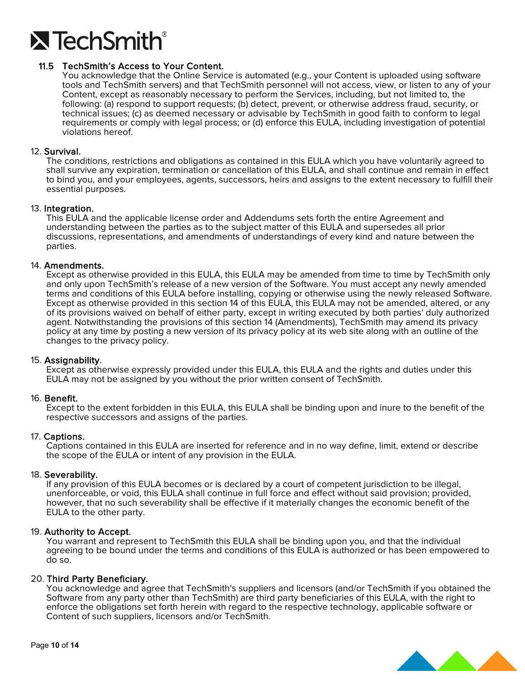

### 11.5 TechSmith's Access to Your Content.

You acknowledge that the Online Service is automated (e.g., your Content is uploaded using software tools and TechSmith servers) and that TechSmith personnel will not access, view, or listen to any of your Content, except as reasonably necessary to perform the Services, including, but not limited to, the following: (a) respond to support requests; (b) detect, prevent, or otherwise address fraud, security, or technical issues; (c) as deemed necessary or advisable by TechSmith in good faith to conform to legal requirements or comply with legal process; or (d) enforce this EULA, including investigation of potential violations hereof.

#### 12. Survival.

The conditions, restrictions and obligations as contained in this EULA which you have voluntarily agreed to shall survive any expiration, termination or cancellation of this EULA, and shall continue and remain in effect to bind you, and your employees, agents, successors, heirs and assigns to the extent necessary to fulfill their essential purposes.

#### 13. Integration.

This EULA and the applicable license order and Addendums sets forth the entire Agreement and understanding between the parties as to the subject matter of this EULA and supersedes all prior discussions, representations, and amendments of understandings of every kind and nature between the parties.

#### 14. Amendments.

Except as otherwise provided in this EULA, this EULA may be amended from time to time by TechSmith only and only upon TechSmith's release of a new version of the Software. You must accept any newly amended terms and conditions of this EULA before installing, copying or otherwise using the newly released Software. Except as otherwise provided in this section 14 of this EULA, this EULA may not be amended, altered, or any of its provisions waived on behalf of either party, except in writing executed by both parties' duly authorized agent. Notwithstanding the provisions of this section 14 (Amendments), TechSmith may amend its privacy policy at any time by posting a new version of its privacy policy at its web site along with an outline of the changes to the privacy policy.

#### 15. Assignability.

Except as otherwise expressly provided under this EULA, this EULA and the rights and duties under this EULA may not be assigned by you without the prior written consent of TechSmith.

#### 16. Benefit.

Except to the extent forbidden in this EULA, this EULA shall be binding upon and inure to the benefit of the respective successors and assigns of the parties.

#### 17. Captions.

Captions contained in this EULA are inserted for reference and in no way define, limit, extend or describe the scope of the EULA or intent of any provision in the EULA.

18. Severability.<br>If any provision of this EULA becomes or is declared by a court of competent jurisdiction to be illegal, unenforceable, or void, this EULA shall continue in full force and effect without said provision; provided, however, that no such severability shall be effective if it materially changes the economic benefit of the EULA to the other party.

19. Authority to Accept.<br>You warrant and represent to TechSmith this EULA shall be binding upon you, and that the individual agreeing to be bound under the terms and conditions of this EULA is authorized or has been empowered to do so.

20. **Third Party Beneficiary.**<br>You acknowledge and agree that TechSmith's suppliers and licensors (and/or TechSmith if you obtained the Software from any party other than TechSmith) are third party beneficiaries of this EULA, with the right to enforce the obligations set forth herein with regard to the respective technology, applicable software or Content of such suppliers, licensors and/or TechSmith.

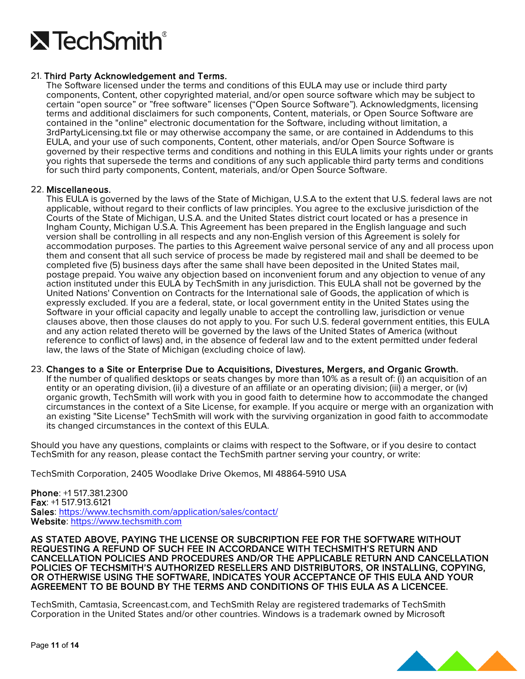

### 21. Third Party Acknowledgement and Terms.

The Software licensed under the terms and conditions of this EULA may use or include third party components, Content, other copyrighted material, and/or open source software which may be subject to certain "open source" or "free software" licenses ("Open Source Software"). Acknowledgments, licensing terms and additional disclaimers for such components, Content, materials, or Open Source Software are contained in the "online" electronic documentation for the Software, including without limitation, a 3rdPartyLicensing.txt file or may otherwise accompany the same, or are contained in Addendums to this EULA, and your use of such components, Content, other materials, and/or Open Source Software is governed by their respective terms and conditions and nothing in this EULA limits your rights under or grants you rights that supersede the terms and conditions of any such applicable third party terms and conditions for such third party components, Content, materials, and/or Open Source Software.

22. **Miscellaneous.**<br>This EULA is governed by the laws of the State of Michigan, U.S.A to the extent that U.S. federal laws are not applicable, without regard to their conflicts of law principles. You agree to the exclusive jurisdiction of the Courts of the State of Michigan, U.S.A. and the United States district court located or has a presence in Ingham County, Michigan U.S.A. This Agreement has been prepared in the English language and such version shall be controlling in all respects and any non-English version of this Agreement is solely for accommodation purposes. The parties to this Agreement waive personal service of any and all process upon them and consent that all such service of process be made by registered mail and shall be deemed to be completed five (5) business days after the same shall have been deposited in the United States mail, postage prepaid. You waive any objection based on inconvenient forum and any objection to venue of any action instituted under this EULA by TechSmith in any jurisdiction. This EULA shall not be governed by the United Nations' Convention on Contracts for the International sale of Goods, the application of which is expressly excluded. If you are a federal, state, or local government entity in the United States using the Software in your official capacity and legally unable to accept the controlling law, jurisdiction or venue clauses above, then those clauses do not apply to you. For such U.S. federal government entities, this EULA and any action related thereto will be governed by the laws of the United States of America (without reference to conflict of laws) and, in the absence of federal law and to the extent permitted under federal law, the laws of the State of Michigan (excluding choice of law).

#### 23. Changes to a Site or Enterprise Due to Acquisitions, Divestures, Mergers, and Organic Growth.

If the number of qualified desktops or seats changes by more than 10% as a result of: (i) an acquisition of an entity or an operating division, (ii) a divesture of an affiliate or an operating division; (iii) a merger, or (iv) organic growth, TechSmith will work with you in good faith to determine how to accommodate the changed circumstances in the context of a Site License, for example. If you acquire or merge with an organization with an existing "Site License" TechSmith will work with the surviving organization in good faith to accommodate its changed circumstances in the context of this EULA.

Should you have any questions, complaints or claims with respect to the Software, or if you desire to contact TechSmith for any reason, please contact the TechSmith partner serving your country, or write:

TechSmith Corporation, 2405 Woodlake Drive Okemos, MI 48864-5910 USA

Phone: +1 517.381.2300 Fax: +1 517.913.6121 Sales:<https://www.techsmith.com/application/sales/contact/> Website: [https://www.techsmith.com](https://www.techsmith.com/)

AS STATED ABOVE, PAYING THE LICENSE OR SUBCRIPTION FEE FOR THE SOFTWARE WITHOUT REQUESTING A REFUND OF SUCH FEE IN ACCORDANCE WITH TECHSMITH'S RETURN AND CANCELLATION POLICIES AND PROCEDURES AND/OR THE APPLICABLE RETURN AND CANCELLATION POLICIES OF TECHSMITH'S AUTHORIZED RESELLERS AND DISTRIBUTORS, OR INSTALLING, COPYING, OR OTHERWISE USING THE SOFTWARE, INDICATES YOUR ACCEPTANCE OF THIS EULA AND YOUR AGREEMENT TO BE BOUND BY THE TERMS AND CONDITIONS OF THIS EULA AS A LICENCEE.

TechSmith, Camtasia, Screencast.com, and TechSmith Relay are registered trademarks of TechSmith Corporation in the United States and/or other countries. Windows is a trademark owned by Microsoft

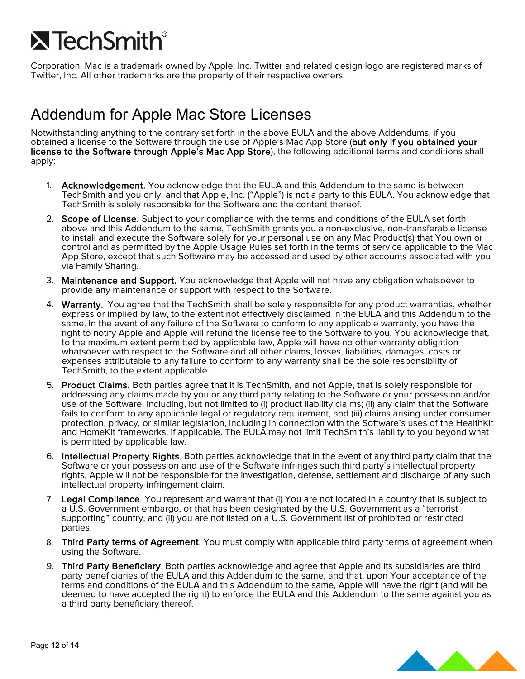# $\lambda$  TechSmith $^{\circ}$

Corporation. Mac is a trademark owned by Apple, Inc. Twitter and related design logo are registered marks of Twitter, Inc. All other trademarks are the property of their respective owners.

## Addendum for Apple Mac Store Licenses

Notwithstanding anything to the contrary set forth in the above EULA and the above Addendums, if you obtained a license to the Software through the use of Apple's Mac App Store (but only if you obtained your license to the Software through Apple's Mac App Store), the following additional terms and conditions shall apply:

- 1. Acknowledgement. You acknowledge that the EULA and this Addendum to the same is between TechSmith and you only, and that Apple, Inc. ("Apple") is not a party to this EULA. You acknowledge that TechSmith is solely responsible for the Software and the content thereof.
- 2. Scope of License. Subject to your compliance with the terms and conditions of the EULA set forth above and this Addendum to the same, TechSmith grants you a non-exclusive, non-transferable license to install and execute the Software solely for your personal use on any Mac Product(s) that You own or control and as permitted by the Apple Usage Rules set forth in the terms of service applicable to the Mac App Store, except that such Software may be accessed and used by other accounts associated with you via Family Sharing.
- 3. Maintenance and Support. You acknowledge that Apple will not have any obligation whatsoever to provide any maintenance or support with respect to the Software.
- 4. Warranty. You agree that the TechSmith shall be solely responsible for any product warranties, whether express or implied by law, to the extent not effectively disclaimed in the EULA and this Addendum to the same. In the event of any failure of the Software to conform to any applicable warranty, you have the right to notify Apple and Apple will refund the license fee to the Software to you. You acknowledge that, to the maximum extent permitted by applicable law, Apple will have no other warranty obligation whatsoever with respect to the Software and all other claims, losses, liabilities, damages, costs or expenses attributable to any failure to conform to any warranty shall be the sole responsibility of TechSmith, to the extent applicable.
- 5. Product Claims. Both parties agree that it is TechSmith, and not Apple, that is solely responsible for addressing any claims made by you or any third party relating to the Software or your possession and/or use of the Software, including, but not limited to (i) product liability claims; (ii) any claim that the Software fails to conform to any applicable legal or regulatory requirement, and (iii) claims arising under consumer protection, privacy, or similar legislation, including in connection with the Software's uses of the HealthKit and HomeKit frameworks, if applicable. The EULA may not limit TechSmith's liability to you beyond what is permitted by applicable law.
- 6. Intellectual Property Rights. Both parties acknowledge that in the event of any third party claim that the Software or your possession and use of the Software infringes such third party's intellectual property rights, Apple will not be responsible for the investigation, defense, settlement and discharge of any such intellectual property infringement claim.
- 7. Legal Compliance. You represent and warrant that (i) You are not located in a country that is subject to a U.S. Government embargo, or that has been designated by the U.S. Government as a "terrorist supporting" country, and (ii) you are not listed on a U.S. Government list of prohibited or restricted parties.
- 8. Third Party terms of Agreement. You must comply with applicable third party terms of agreement when using the Software.
- 9. Third Party Beneficiary. Both parties acknowledge and agree that Apple and its subsidiaries are third party beneficiaries of the EULA and this Addendum to the same, and that, upon Your acceptance of the terms and conditions of the EULA and this Addendum to the same, Apple will have the right (and will be deemed to have accepted the right) to enforce the EULA and this Addendum to the same against you as a third party beneficiary thereof.

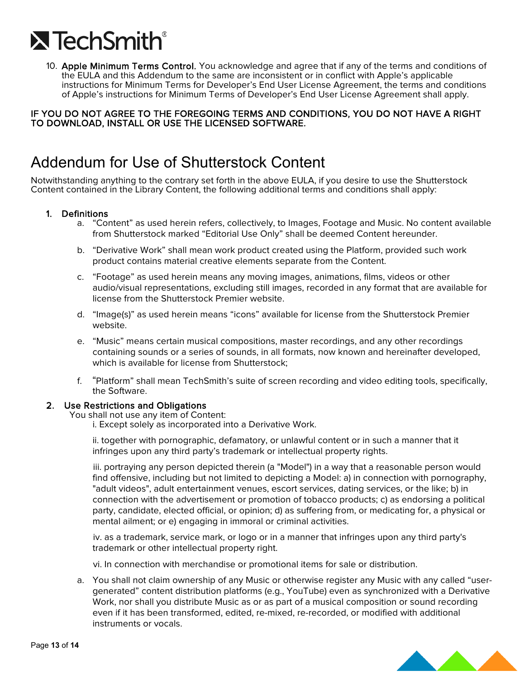

10. Apple Minimum Terms Control. You acknowledge and agree that if any of the terms and conditions of the EULA and this Addendum to the same are inconsistent or in conflict with Apple's applicable instructions for Minimum Terms for Developer's End User License Agreement, the terms and conditions of Apple's instructions for Minimum Terms of Developer's End User License Agreement shall apply.

### IF YOU DO NOT AGREE TO THE FOREGOING TERMS AND CONDITIONS, YOU DO NOT HAVE A RIGHT TO DOWNLOAD, INSTALL OR USE THE LICENSED SOFTWARE.

## Addendum for Use of Shutterstock Content

Notwithstanding anything to the contrary set forth in the above EULA, if you desire to use the Shutterstock Content contained in the Library Content, the following additional terms and conditions shall apply:

#### 1. Definitions

- a. "Content" as used herein refers, collectively, to Images, Footage and Music. No content available from Shutterstock marked "Editorial Use Only" shall be deemed Content hereunder.
- b. "Derivative Work" shall mean work product created using the Platform, provided such work product contains material creative elements separate from the Content.
- c. "Footage" as used herein means any moving images, animations, films, videos or other audio/visual representations, excluding still images, recorded in any format that are available for license from the Shutterstock Premier website.
- d. "Image(s)" as used herein means "icons" available for license from the Shutterstock Premier website.
- e. "Music" means certain musical compositions, master recordings, and any other recordings containing sounds or a series of sounds, in all formats, now known and hereinafter developed, which is available for license from Shutterstock:
- f. "Platform" shall mean TechSmith's suite of screen recording and video editing tools, specifically, the Software.

## 2. Use Restrictions and Obligations You shall not use any item of Content:

i. Except solely as incorporated into a Derivative Work.

ii. together with pornographic, defamatory, or unlawful content or in such a manner that it infringes upon any third party's trademark or intellectual property rights.

iii. portraying any person depicted therein (a "Model") in a way that a reasonable person would find offensive, including but not limited to depicting a Model: a) in connection with pornography, "adult videos", adult entertainment venues, escort services, dating services, or the like; b) in connection with the advertisement or promotion of tobacco products; c) as endorsing a political party, candidate, elected official, or opinion; d) as suffering from, or medicating for, a physical or mental ailment; or e) engaging in immoral or criminal activities.

iv. as a trademark, service mark, or logo or in a manner that infringes upon any third party's trademark or other intellectual property right.

vi. In connection with merchandise or promotional items for sale or distribution.

a. You shall not claim ownership of any Music or otherwise register any Music with any called "usergenerated" content distribution platforms (e.g., YouTube) even as synchronized with a Derivative Work, nor shall you distribute Music as or as part of a musical composition or sound recording even if it has been transformed, edited, re-mixed, re-recorded, or modified with additional instruments or vocals.